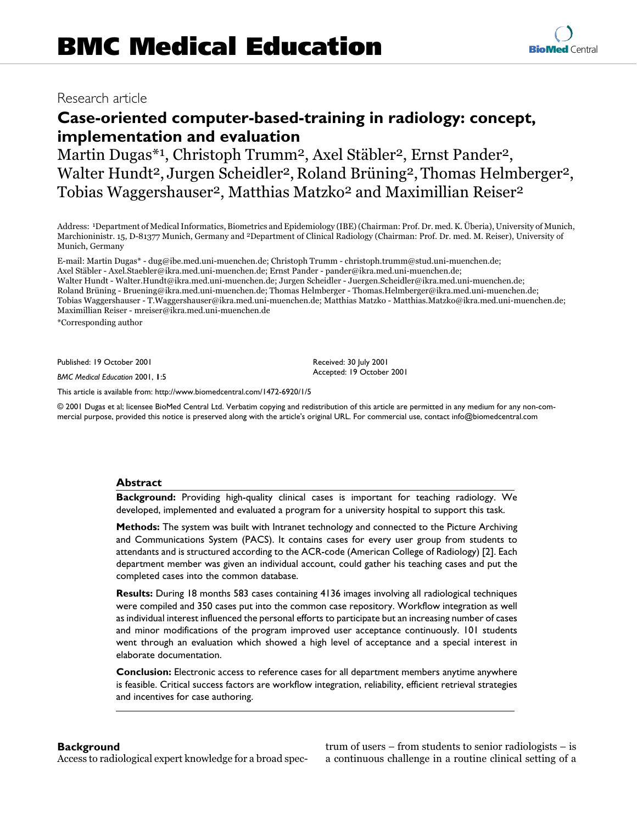## Research article

# **Case-oriented computer-based-training in radiology: concept, implementation and evaluation**

Martin Dugas<sup>\*1</sup>, Christoph Trumm<sup>2</sup>, Axel Stäbler<sup>2</sup>, Ernst Pander<sup>2</sup>, Walter Hundt<sup>2</sup>, Jurgen Scheidler<sup>2</sup>, Roland Brüning<sup>2</sup>, Thomas Helmberger<sup>2</sup>, Tobias Waggershauser<sup>2</sup>, Matthias Matzko<sup>2</sup> and Maximillian Reiser<sup>2</sup>

Address: 1Department of Medical Informatics, Biometrics and Epidemiology (IBE) (Chairman: Prof. Dr. med. K. Überia), University of Munich, Marchioninistr. 15, D-81377 Munich, Germany and 2Department of Clinical Radiology (Chairman: Prof. Dr. med. M. Reiser), University of Munich, Germany

E-mail: Martin Dugas\* - dug@ibe.med.uni-muenchen.de; Christoph Trumm - christoph.trumm@stud.uni-muenchen.de; Axel Stäbler - Axel.Staebler@ikra.med.uni-muenchen.de; Ernst Pander - pander@ikra.med.uni-muenchen.de; Walter Hundt - Walter.Hundt@ikra.med.uni-muenchen.de; Jurgen Scheidler - Juergen.Scheidler@ikra.med.uni-muenchen.de; Roland Brüning - Bruening@ikra.med.uni-muenchen.de; Thomas Helmberger - Thomas.Helmberger@ikra.med.uni-muenchen.de; Tobias Waggershauser - T.Waggershauser@ikra.med.uni-muenchen.de; Matthias Matzko - Matthias.Matzko@ikra.med.uni-muenchen.de; Maximillian Reiser - mreiser@ikra.med.uni-muenchen.de

\*Corresponding author

Published: 19 October 2001

*BMC Medical Education* 2001, **1**:5

[This article is available from: http://www.biomedcentral.com/1472-6920/1/5](http://www.biomedcentral.com/1472-6920/1/5)

© 2001 Dugas et al; licensee BioMed Central Ltd. Verbatim copying and redistribution of this article are permitted in any medium for any non-commercial purpose, provided this notice is preserved along with the article's original URL. For commercial use, contact info@biomedcentral.com

#### **Abstract**

**Background:** Providing high-quality clinical cases is important for teaching radiology. We developed, implemented and evaluated a program for a university hospital to support this task.

**Methods:** The system was built with Intranet technology and connected to the Picture Archiving and Communications System (PACS). It contains cases for every user group from students to attendants and is structured according to the ACR-code (American College of Radiology) [[2\]](#page-5-0). Each department member was given an individual account, could gather his teaching cases and put the completed cases into the common database.

**Results:** During 18 months 583 cases containing 4136 images involving all radiological techniques were compiled and 350 cases put into the common case repository. Workflow integration as well as individual interest influenced the personal efforts to participate but an increasing number of cases and minor modifications of the program improved user acceptance continuously. 101 students went through an evaluation which showed a high level of acceptance and a special interest in elaborate documentation.

**Conclusion:** Electronic access to reference cases for all department members anytime anywhere is feasible. Critical success factors are workflow integration, reliability, efficient retrieval strategies and incentives for case authoring.

#### **Background**

Access to radiological expert knowledge for a broad spec-

trum of users – from students to senior radiologists – is a continuous challenge in a routine clinical setting of a

Received: 30 July 2001 Accepted: 19 October 2001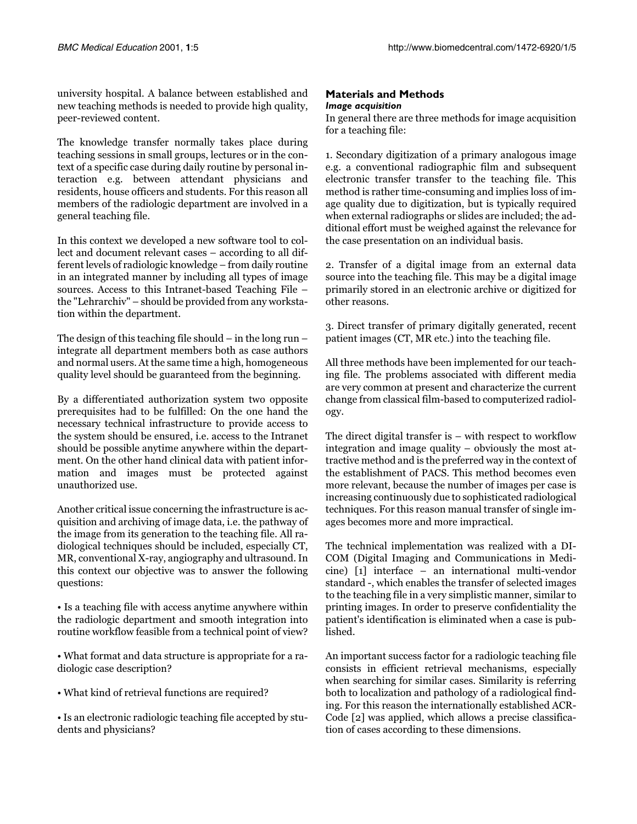university hospital. A balance between established and new teaching methods is needed to provide high quality, peer-reviewed content.

The knowledge transfer normally takes place during teaching sessions in small groups, lectures or in the context of a specific case during daily routine by personal interaction e.g. between attendant physicians and residents, house officers and students. For this reason all members of the radiologic department are involved in a general teaching file.

In this context we developed a new software tool to collect and document relevant cases – according to all different levels of radiologic knowledge – from daily routine in an integrated manner by including all types of image sources. Access to this Intranet-based Teaching File – the "Lehrarchiv" – should be provided from any workstation within the department.

The design of this teaching file should  $-$  in the long run  $$ integrate all department members both as case authors and normal users. At the same time a high, homogeneous quality level should be guaranteed from the beginning.

By a differentiated authorization system two opposite prerequisites had to be fulfilled: On the one hand the necessary technical infrastructure to provide access to the system should be ensured, i.e. access to the Intranet should be possible anytime anywhere within the department. On the other hand clinical data with patient information and images must be protected against unauthorized use.

Another critical issue concerning the infrastructure is acquisition and archiving of image data, i.e. the pathway of the image from its generation to the teaching file. All radiological techniques should be included, especially CT, MR, conventional X-ray, angiography and ultrasound. In this context our objective was to answer the following questions:

• Is a teaching file with access anytime anywhere within the radiologic department and smooth integration into routine workflow feasible from a technical point of view?

• What format and data structure is appropriate for a radiologic case description?

- What kind of retrieval functions are required?
- Is an electronic radiologic teaching file accepted by students and physicians?

## **Materials and Methods** *Image acquisition*

In general there are three methods for image acquisition for a teaching file:

1. Secondary digitization of a primary analogous image e.g. a conventional radiographic film and subsequent electronic transfer transfer to the teaching file. This method is rather time-consuming and implies loss of image quality due to digitization, but is typically required when external radiographs or slides are included; the additional effort must be weighed against the relevance for the case presentation on an individual basis.

2. Transfer of a digital image from an external data source into the teaching file. This may be a digital image primarily stored in an electronic archive or digitized for other reasons.

3. Direct transfer of primary digitally generated, recent patient images (CT, MR etc.) into the teaching file.

All three methods have been implemented for our teaching file. The problems associated with different media are very common at present and characterize the current change from classical film-based to computerized radiology.

The direct digital transfer is – with respect to workflow integration and image quality – obviously the most attractive method and is the preferred way in the context of the establishment of PACS. This method becomes even more relevant, because the number of images per case is increasing continuously due to sophisticated radiological techniques. For this reason manual transfer of single images becomes more and more impractical.

The technical implementation was realized with a DI-COM (Digital Imaging and Communications in Medicine) [[1\]](#page-5-1) interface – an international multi-vendor standard -, which enables the transfer of selected images to the teaching file in a very simplistic manner, similar to printing images. In order to preserve confidentiality the patient's identification is eliminated when a case is published.

An important success factor for a radiologic teaching file consists in efficient retrieval mechanisms, especially when searching for similar cases. Similarity is referring both to localization and pathology of a radiological finding. For this reason the internationally established ACR-Code [[2](#page-5-0)] was applied, which allows a precise classification of cases according to these dimensions.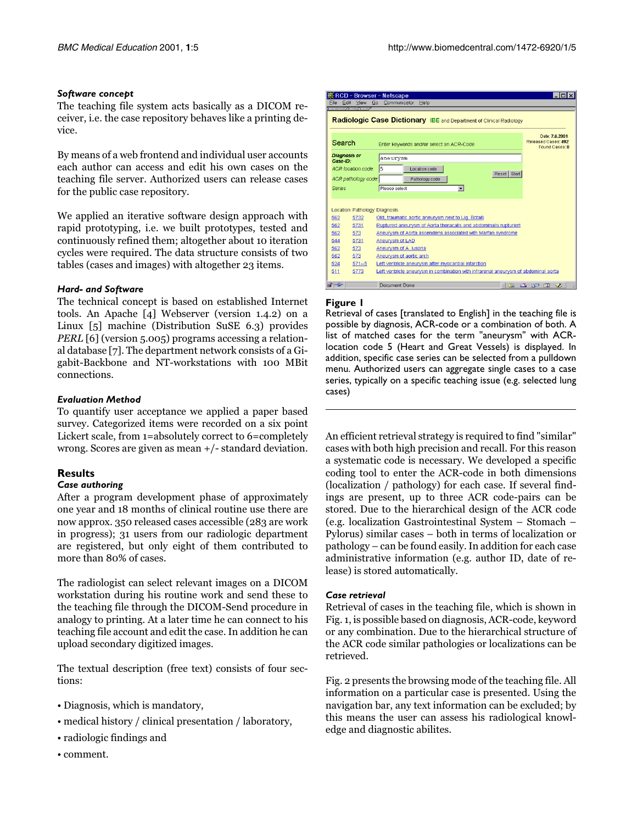### *Software concept*

The teaching file system acts basically as a DICOM receiver, i.e. the case repository behaves like a printing device.

By means of a web frontend and individual user accounts each author can access and edit his own cases on the teaching file server. Authorized users can release cases for the public case repository.

We applied an iterative software design approach with rapid prototyping, i.e. we built prototypes, tested and continuously refined them; altogether about 10 iteration cycles were required. The data structure consists of two tables (cases and images) with altogether 23 items.

## *Hard- and Software*

The technical concept is based on established Internet tools. An Apache [\[4\]](#page-5-2) Webserver (version 1.4.2) on a Linux [\[5](#page-5-3)] machine (Distribution SuSE 6.3) provides PERL [[6](#page-5-4)] (version 5.005) programs accessing a relational database [\[7](#page-5-5)]. The department network consists of a Gigabit-Backbone and NT-workstations with 100 MBit connections.

### *Evaluation Method*

To quantify user acceptance we applied a paper based survey. Categorized items were recorded on a six point Lickert scale, from 1=absolutely correct to 6=completely wrong. Scores are given as mean +/- standard deviation.

## **Results**

#### *Case authoring*

After a program development phase of approximately one year and 18 months of clinical routine use there are now approx. 350 released cases accessible (283 are work in progress); 31 users from our radiologic department are registered, but only eight of them contributed to more than 80% of cases.

The radiologist can select relevant images on a DICOM workstation during his routine work and send these to the teaching file through the DICOM-Send procedure in analogy to printing. At a later time he can connect to his teaching file account and edit the case. In addition he can upload secondary digitized images.

The textual description (free text) consists of four sections:

- Diagnosis, which is mandatory,
- medical history / clinical presentation / laboratory,
- radiologic findings and
- comment.

| File                                                                       | Edit<br>View<br>$\blacktriangleright$ announce $\blacktriangleright$ anno $\blacktriangleright$ anno | RCD - Browser - Netscape<br>Help<br>Go<br>Communicator                             | L I O I                                                 |
|----------------------------------------------------------------------------|------------------------------------------------------------------------------------------------------|------------------------------------------------------------------------------------|---------------------------------------------------------|
| <b>Radiologic Case Dictionary IBE and Department of Clinical Radiology</b> |                                                                                                      |                                                                                    |                                                         |
| Search                                                                     |                                                                                                      | Enter keywords and/or select an ACR-Code                                           | Date: 7.6.2001<br>Released Cases: 492<br>Found Cases: 8 |
| <b>Diagnosis or</b><br>Case-ID:                                            |                                                                                                      | aneurysm                                                                           |                                                         |
|                                                                            | <b>ACR</b> location code:                                                                            | 5<br>Location code                                                                 |                                                         |
|                                                                            | ACR pathology code:                                                                                  | Start<br>Reset<br>Pathology code                                                   |                                                         |
| Series                                                                     |                                                                                                      | Please select<br>$\blacktriangledown$                                              |                                                         |
|                                                                            |                                                                                                      |                                                                                    |                                                         |
|                                                                            | Location Pathology Diagnosis                                                                         |                                                                                    |                                                         |
| 562                                                                        | 5732                                                                                                 | Old, traumatic aortic aneurysm next to Lig. Botalli                                |                                                         |
| 562                                                                        | 5731                                                                                                 | Ruptured aneurysm of Aorta thoracalis and abdominalis rupturiert                   |                                                         |
| 562                                                                        | 573                                                                                                  | Aneurysm of Aorta ascendens associated with Marfan syndrome                        |                                                         |
| 544                                                                        | 5731                                                                                                 | Aneurysm of LAD                                                                    |                                                         |
| 562                                                                        | 573                                                                                                  | Aneurysm of A. Iusoria                                                             |                                                         |
| 562                                                                        | 573                                                                                                  | Aneurysm of aortic arch                                                            |                                                         |
| 524                                                                        | $571 - 5$                                                                                            | Left ventricle aneurysm after myocardial infarction                                |                                                         |
| 511                                                                        | 5773                                                                                                 | Left ventricle aneurysm in combination with infrarenal aneurysm of abdominal aorta |                                                         |
| $\mathbb{E}^n$ =0=                                                         |                                                                                                      | 国 386<br>Document Done                                                             | $\mathbb{R}$ and $\mathbb{R}$ $\mathbb{R}$              |

## <span id="page-2-0"></span>**Figure 1**

Retrieval of cases [translated to English] in the teaching file is possible by diagnosis, ACR-code or a combination of both. A list of matched cases for the term "aneurysm" with ACRlocation code 5 (Heart and Great Vessels) is displayed. In addition, specific case series can be selected from a pulldown menu. Authorized users can aggregate single cases to a case series, typically on a specific teaching issue (e.g. selected lung cases)

An efficient retrieval strategy is required to find "similar" cases with both high precision and recall. For this reason a systematic code is necessary. We developed a specific coding tool to enter the ACR-code in both dimensions (localization / pathology) for each case. If several findings are present, up to three ACR code-pairs can be stored. Due to the hierarchical design of the ACR code (e.g. localization Gastrointestinal System – Stomach – Pylorus) similar cases – both in terms of localization or pathology – can be found easily. In addition for each case administrative information (e.g. author ID, date of release) is stored automatically.

## *Case retrieval*

Retrieval of cases in the teaching file, which is shown in Fig. [1](#page-2-0), is possible based on diagnosis, ACR-code, keyword or any combination. Due to the hierarchical structure of the ACR code similar pathologies or localizations can be retrieved.

Fig. [2](#page-3-0) presents the browsing mode of the teaching file. All information on a particular case is presented. Using the navigation bar, any text information can be excluded; by this means the user can assess his radiological knowledge and diagnostic abilites.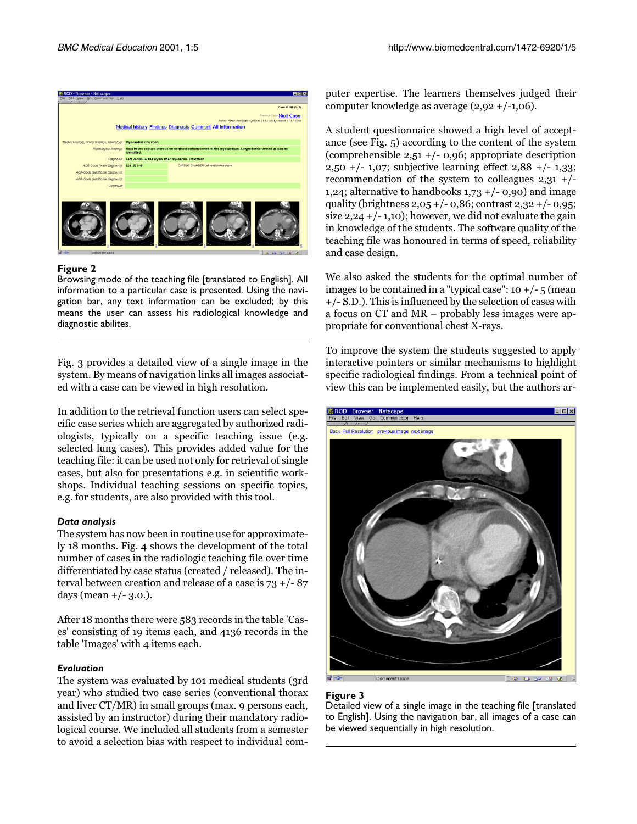

### <span id="page-3-0"></span>**Figure 2**

Browsing mode of the teaching file [translated to English]. All information to a particular case is presented. Using the navigation bar, any text information can be excluded; by this means the user can assess his radiological knowledge and diagnostic abilites.

Fig. [3](#page-3-1) provides a detailed view of a single image in the system. By means of navigation links all images associated with a case can be viewed in high resolution.

In addition to the retrieval function users can select specific case series which are aggregated by authorized radiologists, typically on a specific teaching issue (e.g. selected lung cases). This provides added value for the teaching file: it can be used not only for retrieval of single cases, but also for presentations e.g. in scientific workshops. Individual teaching sessions on specific topics, e.g. for students, are also provided with this tool.

#### *Data analysis*

The system has now been in routine use for approximately 18 months. Fig. [4](#page-4-0) shows the development of the total number of cases in the radiologic teaching file over time differentiated by case status (created / released). The interval between creation and release of a case is  $73 + (-87)$ days (mean  $+/- 3.0$ .).

After 18 months there were 583 records in the table 'Cases' consisting of 19 items each, and 4136 records in the table 'Images' with 4 items each.

#### *Evaluation*

The system was evaluated by 101 medical students (3rd year) who studied two case series (conventional thorax and liver CT/MR) in small groups (max. 9 persons each, assisted by an instructor) during their mandatory radiological course. We included all students from a semester to avoid a selection bias with respect to individual com-

puter expertise. The learners themselves judged their computer knowledge as average (2,92 +/-1,06).

A student questionnaire showed a high level of acceptance (see Fig. [5](#page-5-6)) according to the content of the system (comprehensible  $2,51 + (-0.96;$  appropriate description 2,50 +/- 1,07; subjective learning effect 2,88 +/- 1,33; recommendation of the system to colleagues  $2,31 +/-$ 1,24; alternative to handbooks 1,73  $+/-$  0,90) and image quality (brightness 2,05 +/- 0,86; contrast 2,32 +/- 0,95; size  $2,24 + (-1,10)$ ; however, we did not evaluate the gain in knowledge of the students. The software quality of the teaching file was honoured in terms of speed, reliability and case design.

We also asked the students for the optimal number of images to be contained in a "typical case":  $10 + (-5)$  (mean +/- S.D.). This is influenced by the selection of cases with a focus on CT and MR – probably less images were appropriate for conventional chest X-rays.

To improve the system the students suggested to apply interactive pointers or similar mechanisms to highlight specific radiological findings. From a technical point of view this can be implemented easily, but the authors ar-



#### <span id="page-3-1"></span>**Figure 3**

Detailed view of a single image in the teaching file [translated to English]. Using the navigation bar, all images of a case can be viewed sequentially in high resolution.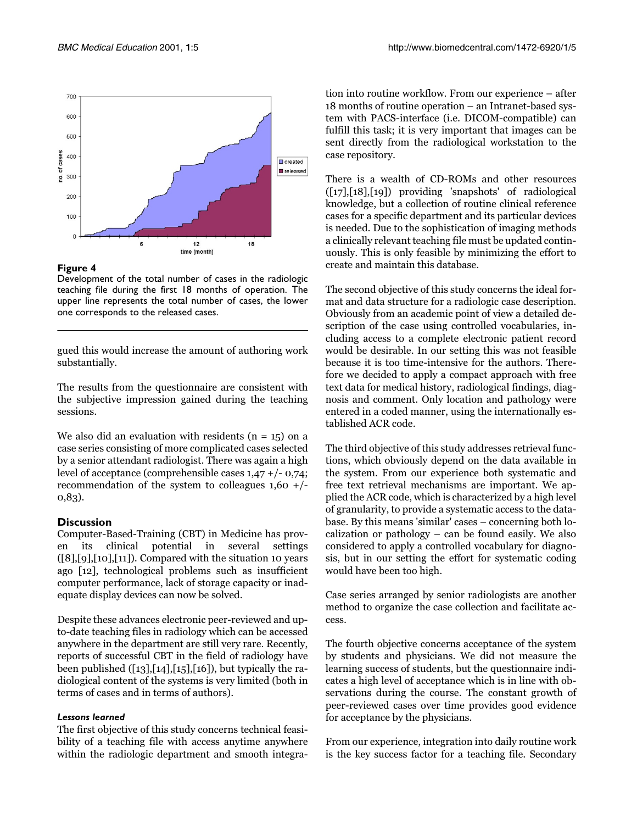

#### <span id="page-4-0"></span>**Figure 4**

Development of the total number of cases in the radiologic teaching file during the first 18 months of operation. The upper line represents the total number of cases, the lower one corresponds to the released cases.

gued this would increase the amount of authoring work substantially.

The results from the questionnaire are consistent with the subjective impression gained during the teaching sessions.

We also did an evaluation with residents  $(n = 15)$  on a case series consisting of more complicated cases selected by a senior attendant radiologist. There was again a high level of acceptance (comprehensible cases 1,47 +/- 0,74; recommendation of the system to colleagues  $1,60 +/$ -0,83).

#### **Discussion**

Computer-Based-Training (CBT) in Medicine has proven its clinical potential in several settings  $([8],[9],[10],[11])$  $([8],[9],[10],[11])$  $([8],[9],[10],[11])$  $([8],[9],[10],[11])$  $([8],[9],[10],[11])$  $([8],[9],[10],[11])$  $([8],[9],[10],[11])$  $([8],[9],[10],[11])$  $([8],[9],[10],[11])$ . Compared with the situation 10 years ago [[12\]](#page-5-11), technological problems such as insufficient computer performance, lack of storage capacity or inadequate display devices can now be solved.

Despite these advances electronic peer-reviewed and upto-date teaching files in radiology which can be accessed anywhere in the department are still very rare. Recently, reports of successful CBT in the field of radiology have been published  $([13],[14],[15],[16])$  $([13],[14],[15],[16])$  $([13],[14],[15],[16])$  $([13],[14],[15],[16])$  $([13],[14],[15],[16])$  $([13],[14],[15],[16])$  $([13],[14],[15],[16])$  $([13],[14],[15],[16])$  $([13],[14],[15],[16])$ , but typically the radiological content of the systems is very limited (both in terms of cases and in terms of authors).

#### *Lessons learned*

The first objective of this study concerns technical feasibility of a teaching file with access anytime anywhere within the radiologic department and smooth integra-

tion into routine workflow. From our experience – after 18 months of routine operation – an Intranet-based system with PACS-interface (i.e. DICOM-compatible) can fulfill this task; it is very important that images can be sent directly from the radiological workstation to the case repository.

There is a wealth of CD-ROMs and other resources ([\[17](#page-5-16)],[\[18](#page-5-17)],[\[19](#page-5-18)]) providing 'snapshots' of radiological knowledge, but a collection of routine clinical reference cases for a specific department and its particular devices is needed. Due to the sophistication of imaging methods a clinically relevant teaching file must be updated continuously. This is only feasible by minimizing the effort to create and maintain this database.

The second objective of this study concerns the ideal format and data structure for a radiologic case description. Obviously from an academic point of view a detailed description of the case using controlled vocabularies, including access to a complete electronic patient record would be desirable. In our setting this was not feasible because it is too time-intensive for the authors. Therefore we decided to apply a compact approach with free text data for medical history, radiological findings, diagnosis and comment. Only location and pathology were entered in a coded manner, using the internationally established ACR code.

The third objective of this study addresses retrieval functions, which obviously depend on the data available in the system. From our experience both systematic and free text retrieval mechanisms are important. We applied the ACR code, which is characterized by a high level of granularity, to provide a systematic access to the database. By this means 'similar' cases – concerning both localization or pathology – can be found easily. We also considered to apply a controlled vocabulary for diagnosis, but in our setting the effort for systematic coding would have been too high.

Case series arranged by senior radiologists are another method to organize the case collection and facilitate access.

The fourth objective concerns acceptance of the system by students and physicians. We did not measure the learning success of students, but the questionnaire indicates a high level of acceptance which is in line with observations during the course. The constant growth of peer-reviewed cases over time provides good evidence for acceptance by the physicians.

From our experience, integration into daily routine work is the key success factor for a teaching file. Secondary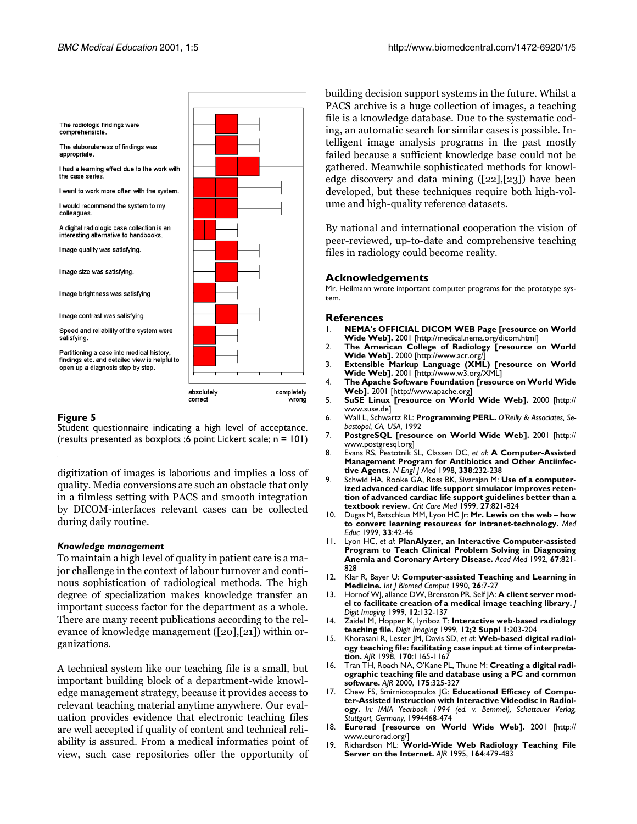

#### <span id="page-5-6"></span>**Figure 5**

Student questionnaire indicating a high level of acceptance. (results presented as boxplots ;6 point Lickert scale; n = 101)

digitization of images is laborious and implies a loss of quality. Media conversions are such an obstacle that only in a filmless setting with PACS and smooth integration by DICOM-interfaces relevant cases can be collected during daily routine.

#### *Knowledge management*

To maintain a high level of quality in patient care is a major challenge in the context of labour turnover and continous sophistication of radiological methods. The high degree of specialization makes knowledge transfer an important success factor for the department as a whole. There are many recent publications according to the relevance of knowledge management ([\[20\]](#page-6-0),[[21](#page-6-1)]) within organizations.

A technical system like our teaching file is a small, but important building block of a department-wide knowledge management strategy, because it provides access to relevant teaching material anytime anywhere. Our evaluation provides evidence that electronic teaching files are well accepted if quality of content and technical reliability is assured. From a medical informatics point of view, such case repositories offer the opportunity of building decision support systems in the future. Whilst a PACS archive is a huge collection of images, a teaching file is a knowledge database. Due to the systematic coding, an automatic search for similar cases is possible. Intelligent image analysis programs in the past mostly failed because a sufficient knowledge base could not be gathered. Meanwhile sophisticated methods for knowledge discovery and data mining ([[22](#page-6-2)],[\[23](#page-6-3)]) have been developed, but these techniques require both high-volume and high-quality reference datasets.

By national and international cooperation the vision of peer-reviewed, up-to-date and comprehensive teaching files in radiology could become reality.

#### **Acknowledgements**

Mr. Heilmann wrote important computer programs for the prototype system.

#### **References**

- <span id="page-5-1"></span>1. **NEMA's OFFICIAL DICOM WEB Page [resource on World Wide Web].** [2001 \[http://medical.nema.org/dicom.html\]](http://medical.nema.org/dicom.html)
- <span id="page-5-0"></span>2. **The American College of Radiology [resource on World Wide Web].** [2000 \[http://www.acr.org/\]](http://www.acr.org/)
- 3. **Extensible Markup Language (XML) [resource on World Wide Web].** [2001 \[http://www.w3.org/XML\]](http://www.w3.org/XML)
- <span id="page-5-2"></span>4. **The Apache Software Foundation [resource on World Wide** Web]. 2001 [http://www.apache.org]
- <span id="page-5-3"></span>5. **SuSE Linux [resource on World Wide Web].** [2000 \[http://](http://www.suse.de) [www.suse.de\]](http://www.suse.de)
- <span id="page-5-4"></span>6. Wall L, Schwartz RL: **Programming PERL.** *O'Reilly & Associates, Sebastopol, CA, USA,* 1992
- <span id="page-5-5"></span>7. **PostgreSQL [resource on World Wide Web].** [2001 \[http://](http://www.postgresql.org) [www.postgresql.org\]](http://www.postgresql.org)
- <span id="page-5-7"></span>8. Evans RS, Pestotnik SL, Classen DC, *et al*: **A Computer-Assisted Management Program for Antibiotics and Other Antiinfective Agents.** *N EngI J Med* 1998, **338**:232-238
- <span id="page-5-8"></span>9. [Schwid HA, Rooke GA, Ross BK, Sivarajan M:](http://www.ncbi.nlm.nih.gov/entrez/query.fcgi?cmd=Retrieve&db=PubMed&dopt=Abstract&list_uids=10321676) **Use of a computerized advanced cardiac life support simulator improves retention of advanced cardiac life support guidelines better than a textbook review.** *Crit Care Med* 1999, **27**:821-824
- <span id="page-5-9"></span>10. [Dugas M, Batschkus MM, Lyon HC Jr:](http://www.ncbi.nlm.nih.gov/entrez/query.fcgi?cmd=Retrieve&db=PubMed&dopt=Abstract&list_uids=10211276) **Mr. Lewis on the web – how to convert learning resources for intranet-technology.** *Med Educ* 1999, **33**:42-46
- <span id="page-5-10"></span>11. [Lyon HC,](http://www.ncbi.nlm.nih.gov/entrez/query.fcgi?cmd=Retrieve&db=PubMed&dopt=Abstract&list_uids=1457015) *et al*: **PlanAlyzer, an Interactive Computer-assisted Program to Teach Clinical Problem Solving in Diagnosing Anemia and Coronary Artery Disease.** *Acad Med* 1992, **67**:821- 828
- <span id="page-5-11"></span>12. [Klar R, Bayer U:](http://www.ncbi.nlm.nih.gov/entrez/query.fcgi?cmd=Retrieve&db=PubMed&dopt=Abstract&list_uids=2203686) **Computer-assisted Teaching and Learning in Medicine.** *Int J Biomed Comput* 1990, **26**:7-27
- <span id="page-5-12"></span>13. [Hornof WJ, allance DW, Brenston PR, Self JA:](http://www.ncbi.nlm.nih.gov/entrez/query.fcgi?cmd=Retrieve&db=PubMed&dopt=Abstract&list_uids=10461575) **A client server model to facilitate creation of a medical image teaching library.** *J Digit Imaging* 1999, **12**:132-137
- <span id="page-5-13"></span>14. Zaidel M, Hopper K, lyriboz T: **Interactive web-based radiology teaching file.** *Digit Imaging* 1999, **12;2 Suppl 1**:203-204
- <span id="page-5-14"></span>15. Khorasani R, Lester JM, Davis SD, *et al*: **Web-based digital radiology teaching file: facilitating case input at time of interpretation.** *AJR* 1998, **170**:1165-1167
- <span id="page-5-15"></span>16. Tran TH, Roach NA, O'Kane PL, Thune M: Creating a digital radi**ographic teaching file and database using a PC and common software.** *AJR* 2000, **175**:325-327
- <span id="page-5-16"></span>17. Chew FS, Smirniotopoulos JG: **Educational Efficacy of Computer-Assisted Instruction with Interactive Videodisc in Radiology.** *In: IMIA Yearbook 1994 (ed. v. Bemmel), Schattauer Verlag, Stuttgart, Germany,* 1994468-474
- <span id="page-5-17"></span>18. **Eurorad [resource on World Wide Web].** [2001 \[http://](http://www.eurorad.org/) [www.eurorad.org/\]](http://www.eurorad.org/)
- <span id="page-5-18"></span>19. Richardson ML: **World-Wide Web Radiology Teaching File Server on the Internet.** *AJR* 1995, **164**:479-483